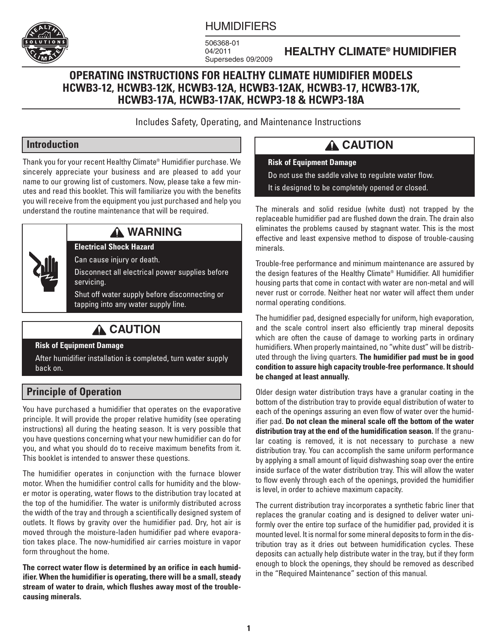

## **HUMIDIFIERS**

506368-01 04/2011 Supersedes 09/2009

## **HEALTHY CLIMATE® HUMIDIFIER**

## **OPERATING INSTRUCTIONS FOR HEALTHY CLIMATE HUMIDIFIER MODELS HCWB3-12, HCWB3-12K, HCWB3-12A, HCWB3-12AK, HCWB3-17, HCWB3-17K, HCWB3-17A, HCWB3-17AK, HCWP3-18 & HCWP3-18A**

Includes Safety, Operating, and Maintenance Instructions

## **Introduction**

Thank you for your recent Healthy Climate® Humidifier purchase. We sincerely appreciate your business and are pleased to add your name to our growing list of customers. Now, please take a few minutes and read this booklet. This will familiarize you with the benefits you will receive from the equipment you just purchased and help you understand the routine maintenance that will be required.



# **A WARNING**

**Electrical Shock Hazard**

Can cause injury or death.

Disconnect all electrical power supplies before servicing.

Shut off water supply before disconnecting or tapping into any water supply line.

# **A CAUTION**

#### **Risk of Equipment Damage**

After humidifier installation is completed, turn water supply back on.

## **Principle of Operation**

You have purchased a humidifier that operates on the evaporative principle. It will provide the proper relative humidity (see operating instructions) all during the heating season. It is very possible that you have questions concerning what your new humidifier can do for you, and what you should do to receive maximum benefits from it. This booklet is intended to answer these questions.

The humidifier operates in conjunction with the furnace blower motor. When the humidifier control calls for humidity and the blower motor is operating, water flows to the distribution tray located at the top of the humidifier. The water is uniformly distributed across the width of the tray and through a scientifically designed system of outlets. It flows by gravity over the humidifier pad. Dry, hot air is moved through the moisture-laden humidifier pad where evaporation takes place. The now-humidified air carries moisture in vapor form throughout the home.

**The correct water flow is determined by an orifice in each humidifier. When the humidifier is operating, there will be a small, steady stream of water to drain, which flushes away most of the troublecausing minerals.**

# **A CAUTION**

**Risk of Equipment Damage** Do not use the saddle valve to regulate water flow. It is designed to be completely opened or closed.

The minerals and solid residue (white dust) not trapped by the replaceable humidifier pad are flushed down the drain. The drain also eliminates the problems caused by stagnant water. This is the most effective and least expensive method to dispose of trouble-causing minerals.

Trouble-free performance and minimum maintenance are assured by the design features of the Healthy Climate® Humidifier. All humidifier housing parts that come in contact with water are non-metal and will never rust or corrode. Neither heat nor water will affect them under normal operating conditions.

The humidifier pad, designed especially for uniform, high evaporation, and the scale control insert also efficiently trap mineral deposits which are often the cause of damage to working parts in ordinary humidifiers. When properly maintained, no "white dust" will be distributed through the living quarters. **The humidifier pad must be in good condition to assure high capacity trouble-free performance. It should be changed at least annually.**

Older design water distribution trays have a granular coating in the bottom of the distribution tray to provide equal distribution of water to each of the openings assuring an even flow of water over the humidifier pad. **Do not clean the mineral scale off the bottom of the water distribution tray at the end of the humidification season.** If the granular coating is removed, it is not necessary to purchase a new distribution tray. You can accomplish the same uniform performance by applying a small amount of liquid dishwashing soap over the entire inside surface of the water distribution tray. This will allow the water to flow evenly through each of the openings, provided the humidifier is level, in order to achieve maximum capacity.

The current distribution tray incorporates a synthetic fabric liner that replaces the granular coating and is designed to deliver water uniformly over the entire top surface of the humidifier pad, provided it is mounted level. It is normal for some mineral deposits to form in the distribution tray as it dries out between humidification cycles. These deposits can actually help distribute water in the tray, but if they form enough to block the openings, they should be removed as described in the "Required Maintenance" section of this manual.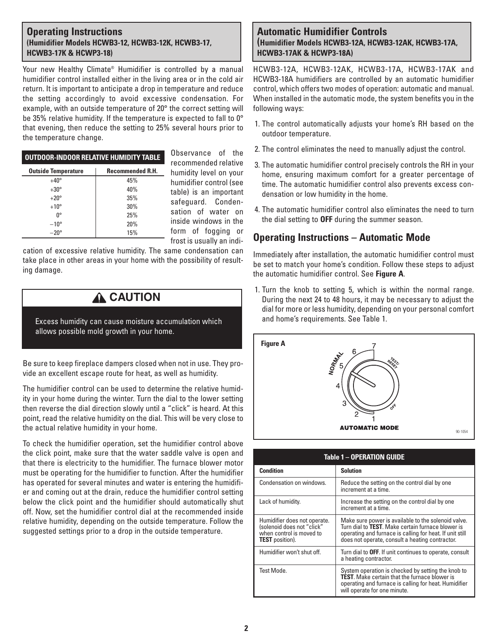#### **Operating Instructions (Humidifier Models HCWB3-12, HCWB3-12K, HCWB3-17, HCWB3-17K & HCWP3-18)**

Your new Healthy Climate® Humidifier is controlled by a manual humidifier control installed either in the living area or in the cold air return. It is important to anticipate a drop in temperature and reduce the setting accordingly to avoid excessive condensation. For example, with an outside temperature of 20° the correct setting will be 35% relative humidity. If the temperature is expected to fall to 0° that evening, then reduce the setting to 25% several hours prior to the temperature change.

| <b>OUTDOOR-INDOOR RELATIVE HUMIDITY TABLE</b> |                         |  |  |  |  |
|-----------------------------------------------|-------------------------|--|--|--|--|
| <b>Outside Temperature</b>                    | <b>Recommended R.H.</b> |  |  |  |  |
| $+40^\circ$                                   | 45%                     |  |  |  |  |
| $+30^\circ$                                   | 40%                     |  |  |  |  |
| $+20^{\circ}$                                 | 35%                     |  |  |  |  |
| $+10^{\circ}$                                 | 30%                     |  |  |  |  |
| n°                                            | 25%                     |  |  |  |  |
| $-10^{\circ}$                                 | 20%                     |  |  |  |  |
| $-20^\circ$                                   | 15%                     |  |  |  |  |

Observance of the recommended relative humidity level on your humidifier control (see table) is an important safeguard. Condensation of water on inside windows in the form of fogging or frost is usually an indi-

cation of excessive relative humidity. The same condensation can take place in other areas in your home with the possibility of resulting damage.

# **A** CAUTION

Excess humidity can cause moisture accumulation which allows possible mold growth in your home.

Be sure to keep fireplace dampers closed when not in use. They provide an excellent escape route for heat, as well as humidity.

The humidifier control can be used to determine the relative humidity in your home during the winter. Turn the dial to the lower setting then reverse the dial direction slowly until a "click" is heard. At this point, read the relative humidity on the dial. This will be very close to the actual relative humidity in your home.

To check the humidifier operation, set the humidifier control above the click point, make sure that the water saddle valve is open and that there is electricity to the humidifier. The furnace blower motor must be operating for the humidifier to function. After the humidifier has operated for several minutes and water is entering the humidifier and coming out at the drain, reduce the humidifier control setting below the click point and the humidifier should automatically shut off. Now, set the humidifier control dial at the recommended inside relative humidity, depending on the outside temperature. Follow the suggested settings prior to a drop in the outside temperature.

#### **Automatic Humidifier Controls (Humidifier Models HCWB3-12A, HCWB3-12AK, HCWB3-17A, HCWB3-17AK & HCWP3-18A)**

HCWB3-12A, HCWB3-12AK, HCWB3-17A, HCWB3-17AK and HCWB3-18A humidifiers are controlled by an automatic humidifier control, which offers two modes of operation: automatic and manual. When installed in the automatic mode, the system benefits you in the following ways:

- 1. The control automatically adjusts your home's RH based on the outdoor temperature.
- 2. The control eliminates the need to manually adjust the control.
- 3. The automatic humidifier control precisely controls the RH in your home, ensuring maximum comfort for a greater percentage of time. The automatic humidifier control also prevents excess condensation or low humidity in the home.
- 4. The automatic humidifier control also eliminates the need to turn the dial setting to **OFF** during the summer season.

## **Operating Instructions – Automatic Mode**

Immediately after installation, the automatic humidifier control must be set to match your home's condition. Follow these steps to adjust the automatic humidifier control. See **Figure A**.

1. Turn the knob to setting 5, which is within the normal range. During the next 24 to 48 hours, it may be necessary to adjust the dial for more or less humidity, depending on your personal comfort and home's requirements. See Table 1.



| Table 1 - OPERATION GUIDE                                                                                        |                                                                                                                                                                                                                                 |  |  |  |  |  |
|------------------------------------------------------------------------------------------------------------------|---------------------------------------------------------------------------------------------------------------------------------------------------------------------------------------------------------------------------------|--|--|--|--|--|
| <b>Condition</b>                                                                                                 | <b>Solution</b>                                                                                                                                                                                                                 |  |  |  |  |  |
| Condensation on windows.                                                                                         | Reduce the setting on the control dial by one<br>increment at a time.                                                                                                                                                           |  |  |  |  |  |
| Lack of humidity.                                                                                                | Increase the setting on the control dial by one<br>increment at a time.                                                                                                                                                         |  |  |  |  |  |
| Humidifier does not operate.<br>(solenoid does not "click"<br>when control is moved to<br><b>TEST</b> position). | Make sure power is available to the solenoid valve.<br>Turn dial to <b>TEST</b> . Make certain furnace blower is<br>operating and furnace is calling for heat. If unit still<br>does not operate, consult a heating contractor. |  |  |  |  |  |
| Humidifier won't shut off.                                                                                       | Turn dial to OFF. If unit continues to operate, consult<br>a heating contractor.                                                                                                                                                |  |  |  |  |  |
| Test Mode                                                                                                        | System operation is checked by setting the knob to<br><b>TEST</b> . Make certain that the furnace blower is<br>operating and furnace is calling for heat. Humidifier<br>will operate for one minute.                            |  |  |  |  |  |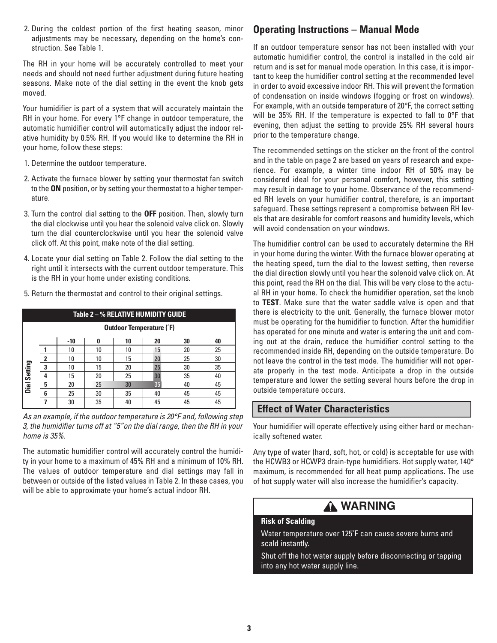2. During the coldest portion of the first heating season, minor adjustments may be necessary, depending on the home's construction. See Table 1.

The RH in your home will be accurately controlled to meet your needs and should not need further adjustment during future heating seasons. Make note of the dial setting in the event the knob gets moved.

Your humidifier is part of a system that will accurately maintain the RH in your home. For every 1°F change in outdoor temperature, the automatic humidifier control will automatically adjust the indoor relative humidity by 0.5% RH. If you would like to determine the RH in your home, follow these steps:

- 1. Determine the outdoor temperature.
- 2. Activate the furnace blower by setting your thermostat fan switch to the **ON** position, or by setting your thermostat to a higher temperature.
- 3. Turn the control dial setting to the **OFF** position. Then, slowly turn the dial clockwise until you hear the solenoid valve click on. Slowly turn the dial counterclockwise until you hear the solenoid valve click off. At this point, make note of the dial setting.
- 4. Locate your dial setting on Table 2. Follow the dial setting to the right until it intersects with the current outdoor temperature. This is the RH in your home under existing conditions.

| Table 2 - % RELATIVE HUMIDITY GUIDE |   |     |    |    |    |    |    |  |  |  |
|-------------------------------------|---|-----|----|----|----|----|----|--|--|--|
| <b>Outdoor Temperature (°F)</b>     |   |     |    |    |    |    |    |  |  |  |
|                                     |   | -10 | N  | 10 | 20 | 30 | 40 |  |  |  |
| Dial Setting                        |   | 10  | 10 | 10 | 15 | 20 | 25 |  |  |  |
|                                     | 2 | 10  | 10 | 15 | 20 | 25 | 30 |  |  |  |
|                                     | 3 | 10  | 15 | 20 | 25 | 30 | 35 |  |  |  |
|                                     |   | 15  | 20 | 25 | 30 | 35 | 40 |  |  |  |
|                                     | 5 | 20  | 25 | 30 | 35 | 40 | 45 |  |  |  |
|                                     | 6 | 25  | 30 | 35 | 40 | 45 | 45 |  |  |  |
|                                     |   | 30  | 35 | 40 | 45 | 45 | 45 |  |  |  |

*As an example, if the outdoor temperature is 20°F and, following step 3, the humidifier turns off at "5"on the dial range, then the RH in your home is 35%.*

The automatic humidifier control will accurately control the humidity in your home to a maximum of 45% RH and a minimum of 10% RH. The values of outdoor temperature and dial settings may fall in between or outside of the listed values in Table 2. In these cases, you will be able to approximate your home's actual indoor RH.

# **Operating Instructions – Manual Mode**

If an outdoor temperature sensor has not been installed with your automatic humidifier control, the control is installed in the cold air return and is set for manual mode operation. In this case, it is important to keep the humidifier control setting at the recommended level in order to avoid excessive indoor RH. This will prevent the formation of condensation on inside windows (fogging or frost on windows). For example, with an outside temperature of 20°F, the correct setting will be 35% RH. If the temperature is expected to fall to 0°F that evening, then adjust the setting to provide 25% RH several hours prior to the temperature change.

The recommended settings on the sticker on the front of the control and in the table on page 2 are based on years of research and experience. For example, a winter time indoor RH of 50% may be considered ideal for your personal comfort, however, this setting may result in damage to your home. Observance of the recommended RH levels on your humidifier control, therefore, is an important safeguard. These settings represent a compromise between RH levels that are desirable for comfort reasons and humidity levels, which will avoid condensation on your windows.

The humidifier control can be used to accurately determine the RH in your home during the winter. With the furnace blower operating at the heating speed, turn the dial to the lowest setting, then reverse the dial direction slowly until you hear the solenoid valve click on. At this point, read the RH on the dial. This will be very close to the actual RH in your home. To check the humidifier operation, set the knob to **TEST**. Make sure that the water saddle valve is open and that there is electricity to the unit. Generally, the furnace blower motor must be operating for the humidifier to function. After the humidifier has operated for one minute and water is entering the unit and coming out at the drain, reduce the humidifier control setting to the recommended inside RH, depending on the outside temperature. Do not leave the control in the test mode. The humidifier will not operate properly in the test mode. Anticipate a drop in the outside temperature and lower the setting several hours before the drop in outside temperature occurs.

## **Effect of Water Characteristics**

Your humidifier will operate effectively using either hard or mechanically softened water.

Any type of water (hard, soft, hot, or cold) is acceptable for use with the HCWB3 or HCWP3 drain-type humidifiers. Hot supply water, 140° maximum, is recommended for all heat pump applications. The use of hot supply water will also increase the humidifier's capacity.

# **WARNING**

### **Risk of Scalding**

Water temperature over 125˚F can cause severe burns and scald instantly.

Shut off the hot water supply before disconnecting or tapping into any hot water supply line.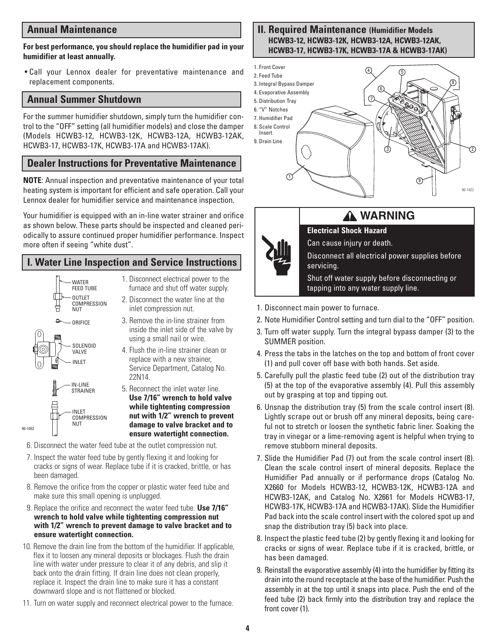### **Annual Maintenance**

#### **For best performance, you should replace the humidifier pad in your humidifier at least annually.**

• Call your Lennox dealer for preventative maintenance and replacement components.

#### **Annual Summer Shutdown**

For the summer humidifier shutdown, simply turn the humidifier control to the "OFF" setting (all humidifier models) and close the damper (Models HCWB3-12, HCWB3-12K, HCWB3-12A, HCWB3-12AK, HCWB3-17, HCWB3-17K, HCWB3-17A and HCWB3-17AK).

#### **Dealer Instructions for Preventative Maintenance**

**NOTE**: Annual inspection and preventative maintenance of your total heating system is important for efficient and safe operation. Call your Lennox dealer for humidifier service and maintenance inspection.

Your humidifier is equipped with an in-line water strainer and orifice as shown below. These parts should be inspected and cleaned periodically to assure continued proper humidifier performance. Inspect more often if seeing "white dust".

## **I. Water Line Inspection and Service Instructions**



- 1. Disconnect electrical power to the furnace and shut off water supply.
- 2. Disconnect the water line at the inlet compression nut.
- 3. Remove the in-line strainer from inside the inlet side of the valve by using a small nail or wire.
- 4. Flush the in-line strainer clean or replace with a new strainer, Service Department, Catalog No. 22N14.
- 5. Reconnect the inlet water line. **Use 7/16" wrench to hold valve while tightenting compression nut with 1/2" wrench to prevent damage to valve bracket and to ensure watertight connection.**
- 6. Disconnect the water feed tube at the outlet compression nut.
- 7. Inspect the water feed tube by gently flexing it and looking for cracks or signs of wear. Replace tube if it is cracked, brittle, or has been damaged.
- 8. Remove the orifice from the copper or plastic water feed tube and make sure this small opening is unplugged.
- 9. Replace the orifice and reconnect the water feed tube. **Use 7/16" wrench to hold valve while tightenting compression nut with 1/2" wrench to prevent damage to valve bracket and to ensure watertight connection.**
- 10. Remove the drain line from the bottom of the humidifier. If applicable, flex it to loosen any mineral deposits or blockages. Flush the drain line with water under pressure to clear it of any debris, and slip it back onto the drain fitting. If drain line does not clean properly, replace it. Inspect the drain line to make sure it has a constant downward slope and is not flattened or blocked.
- 11. Turn on water supply and reconnect electrical power to the furnace.

#### **II. Required Maintenance (Humidifier Models HCWB3-12, HCWB3-12K, HCWB3-12A, HCWB3-12AK, HCWB3-17, HCWB3-17K, HCWB3-17A & HCWB3-17AK)**





Shut off water supply before disconnecting or tapping into any water supply line.

- 1. Disconnect main power to furnace.
- 2. Note Humidifier Control setting and turn dial to the "OFF" position.
- 3. Turn off water supply. Turn the integral bypass damper (3) to the SUMMER position.
- 4. Press the tabs in the latches on the top and bottom of front cover (1) and pull cover off base with both hands. Set aside.
- 5. Carefully pull the plastic feed tube (2) out of the distribution tray (5) at the top of the evaporative assembly (4). Pull this assembly out by grasping at top and tipping out.
- 6. Unsnap the distribution tray (5) from the scale control insert (8). Lightly scrape out or brush off any mineral deposits, being careful not to stretch or loosen the synthetic fabric liner. Soaking the tray in vinegar or a lime-removing agent is helpful when trying to remove stubborn mineral deposits.
- 7. Slide the Humidifier Pad (7) out from the scale control insert (8). Clean the scale control insert of mineral deposits. Replace the Humidifier Pad annually or if performance drops (Catalog No. X2660 for Models HCWB3-12, HCWB3-12K, HCWB3-12A and HCWB3-12AK, and Catalog No. X2661 for Models HCWB3-17, HCWB3-17K, HCWB3-17A and HCWB3-17AK). Slide the Humidifier Pad back into the scale control insert with the colored spot up and snap the distribution tray (5) back into place.
- 8. Inspect the plastic feed tube (2) by gently flexing it and looking for cracks or signs of wear. Replace tube if it is cracked, brittle, or has been damaged.
- 9. Reinstall the evaporative assembly (4) into the humidifier by fitting its drain into the round receptacle at the base of the humidifier. Push the assembly in at the top until it snaps into place. Push the end of the feed tube (2) back firmly into the distribution tray and replace the front cover (1).